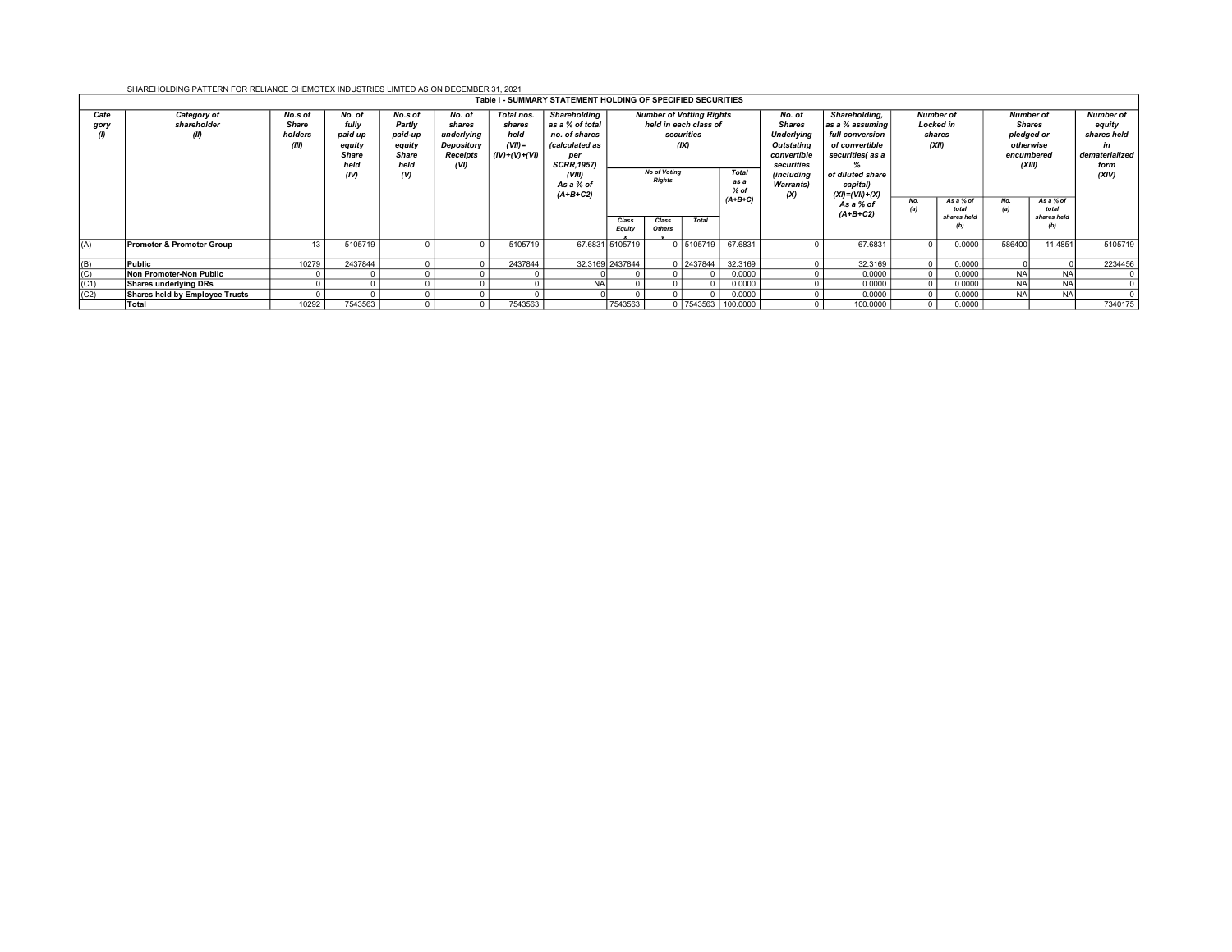SHAREHOLDING PATTERN FOR RELIANCE CHEMOTEX INDUSTRIES LIMTED AS ON DECEMBER 31, 2021

| Table I - SUMMARY STATEMENT HOLDING OF SPECIFIED SECURITIES |                                           |                                      |                                                                      |                                                                            |                                                                  |                                                              |                                                                                                                                             |                                                                                                                       |                        |             |                         |                                                                                                                                  |                                                                                                                                                  |                                                         |                                   |                                                                                      |                                          |                                                                                    |
|-------------------------------------------------------------|-------------------------------------------|--------------------------------------|----------------------------------------------------------------------|----------------------------------------------------------------------------|------------------------------------------------------------------|--------------------------------------------------------------|---------------------------------------------------------------------------------------------------------------------------------------------|-----------------------------------------------------------------------------------------------------------------------|------------------------|-------------|-------------------------|----------------------------------------------------------------------------------------------------------------------------------|--------------------------------------------------------------------------------------------------------------------------------------------------|---------------------------------------------------------|-----------------------------------|--------------------------------------------------------------------------------------|------------------------------------------|------------------------------------------------------------------------------------|
| Cate<br>gory<br>$\omega$                                    | <b>Category of</b><br>shareholder<br>(II) | No.s of<br>Share<br>holders<br>(III) | No. of<br>fully<br>paid up<br>equity<br><b>Share</b><br>held<br>(IV) | No.s of<br>Partly<br>paid-up<br>equity<br><b>Share</b><br>held<br>$\omega$ | No. of<br>shares<br>underlying<br>Depository<br>Receipts<br>(VI) | Total nos.<br>shares<br>held<br>$(VII) =$<br>$(IV)+(V)+(VI)$ | <b>Shareholding</b><br>as a % of total<br>no. of shares<br>(calculated as<br>per<br><b>SCRR, 1957)</b><br>(VIII)<br>As a % of<br>$(A+B+C2)$ | <b>Number of Votting Rights</b><br>held in each class of<br>securities<br>(X)<br><b>No of Voting</b><br><b>Rights</b> |                        |             | Total<br>as a<br>$%$ of | No. of<br><b>Shares</b><br><b>Underlying</b><br>Outstating<br>convertible<br>securities<br>(including<br><b>Warrants)</b><br>(X) | Shareholding,<br>as a % assuming<br>full conversion<br>of convertible<br>securities(as a<br>of diluted share<br>capital)<br>$(XI) = (VII) + (X)$ | <b>Number of</b><br><b>Locked in</b><br>shares<br>(XII) |                                   | <b>Number of</b><br><b>Shares</b><br>pledged or<br>otherwise<br>encumbered<br>(XIII) |                                          | <b>Number of</b><br>equity<br>shares held<br>in<br>dematerialized<br>form<br>(XIV) |
|                                                             |                                           |                                      |                                                                      |                                                                            |                                                                  |                                                              |                                                                                                                                             | Class<br><b>Equity</b>                                                                                                | Class<br><b>Others</b> | Total       | $(A+B+C)$               |                                                                                                                                  | As a % of<br>$(A+B+C2)$                                                                                                                          | No.                                                     | As a % of<br>total<br>shares held | No.                                                                                  | As a % of<br>total<br>shares held<br>(b) |                                                                                    |
| (A)                                                         | <b>Promoter &amp; Promoter Group</b>      | 13                                   | 5105719                                                              |                                                                            |                                                                  | 5105719                                                      |                                                                                                                                             | 67.6831 5105719                                                                                                       |                        | 0   5105719 | 67.6831                 |                                                                                                                                  | 67.6831                                                                                                                                          |                                                         | 0.0000                            | 586400                                                                               | 11.4851                                  | 5105719                                                                            |
| (B)                                                         | Public                                    | 10279                                | 2437844                                                              |                                                                            |                                                                  | 2437844                                                      | 32.3169 2437844                                                                                                                             |                                                                                                                       |                        | 0 2437844   | 32.3169                 |                                                                                                                                  | 32.3169                                                                                                                                          |                                                         | 0.0000                            |                                                                                      |                                          | 2234456                                                                            |
| (C)                                                         | Non Promoter-Non Public                   |                                      |                                                                      |                                                                            |                                                                  |                                                              |                                                                                                                                             |                                                                                                                       | $\Omega$               |             | 0.0000                  |                                                                                                                                  | 0.0000                                                                                                                                           |                                                         | 0.0000                            | <b>NA</b>                                                                            | <b>NA</b>                                |                                                                                    |
| (C1)                                                        | Shares underlying DRs                     |                                      |                                                                      |                                                                            |                                                                  |                                                              | <b>NA</b>                                                                                                                                   |                                                                                                                       | $\Omega$               |             | 0.0000                  |                                                                                                                                  | 0.0000                                                                                                                                           |                                                         | 0.0000                            | <b>NA</b>                                                                            | <b>NA</b>                                |                                                                                    |
| (C2)                                                        | Shares held by Employee Trusts            |                                      |                                                                      |                                                                            |                                                                  |                                                              |                                                                                                                                             |                                                                                                                       | $\Omega$               |             | 0.0000                  |                                                                                                                                  | 0.0000                                                                                                                                           |                                                         | 0.0000                            | <b>NA</b>                                                                            | <b>NA</b>                                |                                                                                    |
|                                                             | Total                                     | 10292                                | 7543563                                                              |                                                                            |                                                                  | 7543563                                                      |                                                                                                                                             | 7543563                                                                                                               |                        | 0   7543563 | 100.0000                |                                                                                                                                  | 100.0000                                                                                                                                         |                                                         | 0.0000                            |                                                                                      |                                          | 7340175                                                                            |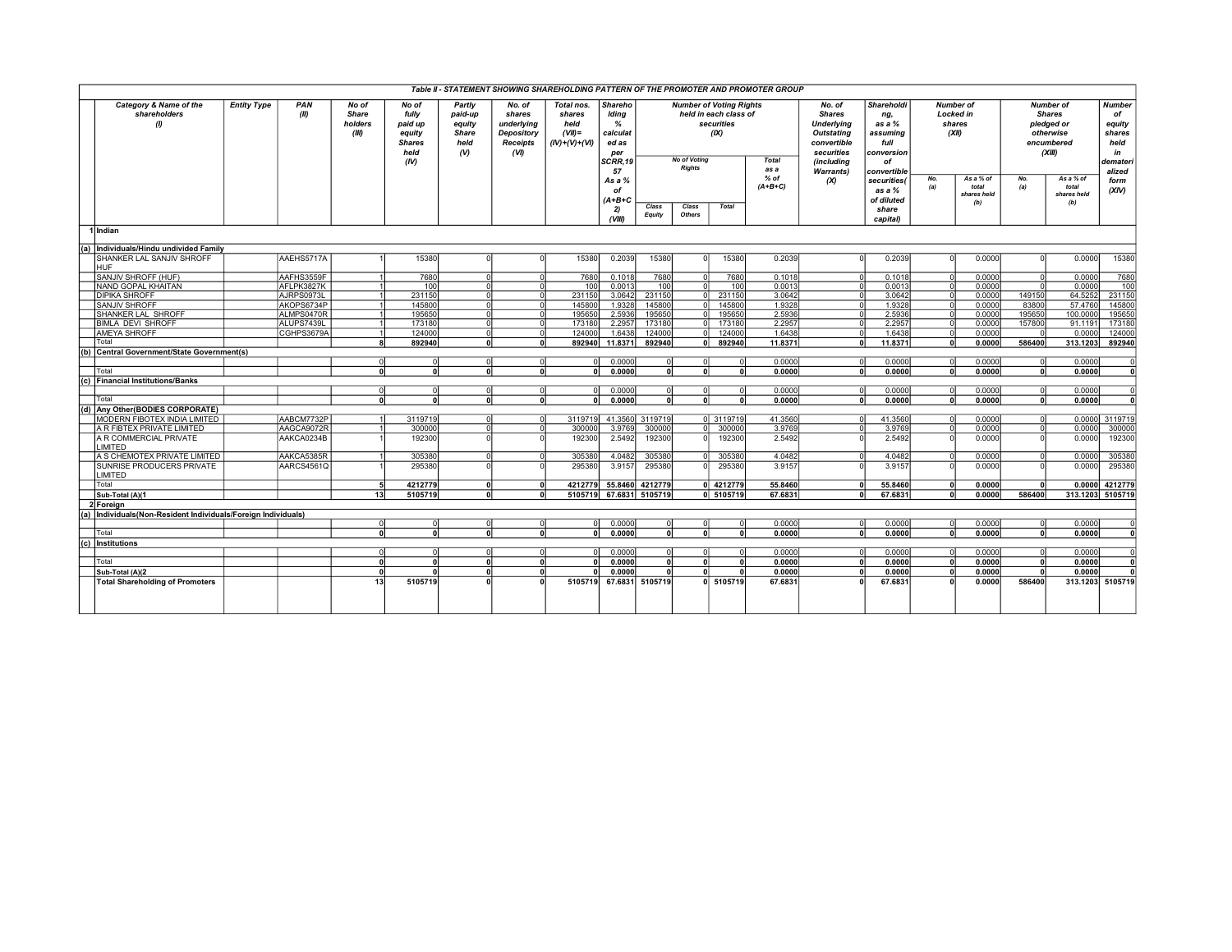| Table II - STATEMENT SHOWING SHAREHOLDING PATTERN OF THE PROMOTER AND PROMOTER GROUP |                                                                |                    |             |                                           |                                                                      |                                                                 |                                                                         |                                                            |                                                                          |                                                                                                                                      |                 |              |                                                                                                              |                                                                              |                                                                           |                                                         |                                          |                                                                                      |                                                                   |                         |
|--------------------------------------------------------------------------------------|----------------------------------------------------------------|--------------------|-------------|-------------------------------------------|----------------------------------------------------------------------|-----------------------------------------------------------------|-------------------------------------------------------------------------|------------------------------------------------------------|--------------------------------------------------------------------------|--------------------------------------------------------------------------------------------------------------------------------------|-----------------|--------------|--------------------------------------------------------------------------------------------------------------|------------------------------------------------------------------------------|---------------------------------------------------------------------------|---------------------------------------------------------|------------------------------------------|--------------------------------------------------------------------------------------|-------------------------------------------------------------------|-------------------------|
|                                                                                      | Category & Name of the<br>shareholders<br>$\theta$             | <b>Entity Type</b> | PAN<br>(II) | No of<br><b>Share</b><br>holders<br>(III) | No of<br>fully<br>paid up<br>equity<br><b>Shares</b><br>held<br>(IV) | Partly<br>paid-up<br>equity<br><b>Share</b><br>held<br>$\omega$ | No. of<br>shares<br>underlying<br>Depository<br><b>Receipts</b><br>(VI) | Total nos.<br>shares<br>held<br>$(VII) =$<br>(IV)+(V)+(VI) | Shareho<br>Iding<br>$\frac{9}{6}$<br>calculat<br>ed as<br>per<br>SCRR,19 | <b>Number of Voting Rights</b><br>held in each class of<br>securities<br>(X)<br><b>No of Voting</b><br><b>Total</b><br><b>Rights</b> |                 | as a         | No. of<br><b>Shares</b><br><b>Underlying</b><br><b>Outstating</b><br>convertible<br>securities<br>(including | <b>Shareholdi</b><br>ng,<br>as a $%$<br>assuming<br>full<br>conversion<br>of |                                                                           | <b>Number of</b><br><b>Locked in</b><br>shares<br>(XII) |                                          | <b>Number of</b><br><b>Shares</b><br>pledged or<br>otherwise<br>encumbered<br>(XIII) | <b>Number</b><br>of<br>equity<br>shares<br>held<br>in<br>demateri |                         |
|                                                                                      |                                                                |                    |             |                                           |                                                                      |                                                                 |                                                                         |                                                            | 57<br>As a %<br>of<br>$(A+B+C$<br>2)<br>VIII                             | Class<br><b>Equity</b>                                                                                                               | Class<br>Others | <b>Total</b> | $%$ of<br>$(A+B+C)$                                                                                          | <b>Warrants)</b><br>(x)                                                      | convertible<br>securities(<br>as a $%$<br>of diluted<br>share<br>capital) | No.<br>(a)                                              | As a % of<br>total<br>shares held<br>(b) | No.<br>(a)                                                                           | As a % of<br>total<br>shares held<br>(b)                          | alized<br>form<br>(XIV) |
|                                                                                      | 1 Indian                                                       |                    |             |                                           |                                                                      |                                                                 |                                                                         |                                                            |                                                                          |                                                                                                                                      |                 |              |                                                                                                              |                                                                              |                                                                           |                                                         |                                          |                                                                                      |                                                                   |                         |
|                                                                                      | (a) Individuals/Hindu undivided Family                         |                    |             |                                           |                                                                      |                                                                 |                                                                         |                                                            |                                                                          |                                                                                                                                      |                 |              |                                                                                                              |                                                                              |                                                                           |                                                         |                                          |                                                                                      |                                                                   |                         |
|                                                                                      | SHANKER LAL SANJIV SHROFF                                      |                    | AAEHS5717A  |                                           | 15380                                                                |                                                                 |                                                                         | 15380                                                      | 0.2039                                                                   | 15380                                                                                                                                | n               | 15380        | 0.2039                                                                                                       |                                                                              | 0.2039                                                                    |                                                         | 0.0000                                   |                                                                                      | 0.0000                                                            | 15380                   |
|                                                                                      | <b>HUF</b><br>SANJIV SHROFF (HUF)                              |                    | AAFHS3559F  |                                           | 7680                                                                 | ΩI                                                              |                                                                         | 7680                                                       | 0.1018                                                                   | 7680                                                                                                                                 | $\Omega$        | 7680         | 0.1018                                                                                                       |                                                                              | 0.1018                                                                    |                                                         | 0.0000                                   |                                                                                      | 0.0000                                                            | 7680                    |
|                                                                                      | NAND GOPAL KHAITAN                                             |                    | AFLPK3827K  |                                           | 100                                                                  |                                                                 |                                                                         | 100                                                        | 0.0013                                                                   | 100                                                                                                                                  | n               | 100          | 0.0013                                                                                                       |                                                                              | 0.0013                                                                    |                                                         | 0.0000                                   | οI<br>$\Omega$                                                                       | 0.0000                                                            | 100                     |
|                                                                                      | <b>DIPIKA SHROFF</b>                                           |                    | AJRPS0973L  |                                           | 231150                                                               | $\cap$                                                          |                                                                         | 231150                                                     | 3.0642                                                                   | 231150                                                                                                                               | ΩI              | 231150       | 3.0642                                                                                                       |                                                                              | 3.0642                                                                    |                                                         | 0.0000                                   | 149150                                                                               | 64.5252                                                           | 231150                  |
|                                                                                      | <b>SANJIV SHROFF</b>                                           |                    | AKOPS6734P  |                                           | 145800                                                               |                                                                 |                                                                         | 145800                                                     | 1.9328                                                                   | 145800                                                                                                                               |                 | 145800       | 1.9328                                                                                                       |                                                                              | 1.9328                                                                    |                                                         | 0.0000                                   | 83800                                                                                | 57.4760                                                           | 145800                  |
|                                                                                      | SHANKER LAL SHROFF                                             |                    | ALMPS0470R  |                                           | 195650                                                               |                                                                 |                                                                         | 195650                                                     | 2.5936                                                                   | 195650                                                                                                                               |                 | 195650       | 2.5936                                                                                                       |                                                                              | 2.5936                                                                    |                                                         | 0.0000                                   | 195650                                                                               | 100,0000                                                          | 195650                  |
|                                                                                      | <b>BIMLA DEVI SHROFF</b>                                       |                    | ALUPS7439L  |                                           | 173180                                                               | ΩI                                                              | $\Omega$                                                                | 173180                                                     | 2.2957                                                                   | 173180                                                                                                                               |                 | 173180       | 2.2957                                                                                                       |                                                                              | 2.2957                                                                    |                                                         | 0.0000                                   | 157800                                                                               | 91.119                                                            | 173180                  |
|                                                                                      | AMEYA SHROFF                                                   |                    | CGHPS3679A  |                                           | 124000                                                               | ΩI                                                              |                                                                         | 124000                                                     | 1.6438                                                                   | 124000                                                                                                                               |                 | 124000       | 1.6438                                                                                                       |                                                                              | 1.6438                                                                    |                                                         | 0.0000                                   |                                                                                      | 0.0000                                                            | 124000                  |
|                                                                                      | Total                                                          |                    |             |                                           | 892940                                                               | n١                                                              | $\Omega$                                                                | 892940                                                     | 11.8371                                                                  | 892940                                                                                                                               | 0               | 892940       | 11.8371                                                                                                      | $\Omega$                                                                     | 11.8371                                                                   | $\mathbf{r}$                                            | 0.0000                                   | 586400                                                                               | 313.1203                                                          | 892940                  |
| (b)                                                                                  | Central Government/State Government(s)                         |                    |             |                                           |                                                                      |                                                                 |                                                                         |                                                            |                                                                          |                                                                                                                                      |                 |              |                                                                                                              |                                                                              |                                                                           |                                                         |                                          |                                                                                      |                                                                   |                         |
|                                                                                      |                                                                |                    |             | $\Omega$                                  | $\Omega$                                                             | ΩI                                                              | $\Omega$                                                                | $\Omega$                                                   | 0.0000                                                                   | $\Omega$                                                                                                                             | $\Omega$        |              | 0.0000                                                                                                       | $\Omega$                                                                     | 0.0000                                                                    |                                                         | 0.0000                                   | $\circ$                                                                              | 0.0000                                                            |                         |
|                                                                                      | Total                                                          |                    |             |                                           |                                                                      | n١                                                              | n                                                                       | $\Omega$                                                   | 0.0000                                                                   | $\overline{0}$                                                                                                                       | $\Omega$        | o۱           | 0.0000                                                                                                       | $\mathbf{r}$                                                                 | 0.0000                                                                    |                                                         | 0.0000                                   | ol                                                                                   | 0.0000                                                            | $\mathbf{0}$            |
|                                                                                      | (c) Financial Institutions/Banks                               |                    |             |                                           |                                                                      |                                                                 |                                                                         |                                                            |                                                                          |                                                                                                                                      |                 |              |                                                                                                              |                                                                              |                                                                           |                                                         |                                          |                                                                                      |                                                                   |                         |
|                                                                                      | Total                                                          |                    |             | $\Omega$                                  | $\Omega$                                                             | ΩI<br>n١                                                        | $\Omega$                                                                | $\Omega$                                                   | 0.0000                                                                   | $\Omega$<br>$\mathbf{0}$                                                                                                             | $\Omega$<br>n   | n١           | 0.0000                                                                                                       | $\Omega$                                                                     | 0.0000                                                                    | $\Omega$                                                | 0.0000                                   | $\overline{\mathbf{0}}$                                                              | 0.0000                                                            |                         |
|                                                                                      | (d) Any Other(BODIES CORPORATE)                                |                    |             |                                           | $\Omega$                                                             |                                                                 | $\Omega$                                                                |                                                            | 0.0000                                                                   |                                                                                                                                      |                 |              | 0.0000                                                                                                       |                                                                              | 0.0000                                                                    |                                                         | 0.0000                                   | $\overline{\mathbf{0}}$                                                              | 0.0000                                                            | 0                       |
|                                                                                      | MODERN FIBOTEX INDIA LIMITED                                   |                    | AABCM7732P  |                                           | 3119719                                                              | ΩI                                                              | $\Omega$                                                                | 3119719                                                    | 41.3560                                                                  | 3119719                                                                                                                              |                 | 0 3119719    | 41.3560                                                                                                      | $\Omega$                                                                     | 41,3560                                                                   | $\Omega$                                                | 0.0000                                   | <sub>0</sub>                                                                         |                                                                   | 0.0000 3119719          |
|                                                                                      | A R FIBTEX PRIVATE LIMITED                                     |                    | AAGCA9072R  |                                           | 300000                                                               | nl                                                              |                                                                         | 300000                                                     | 3.9769                                                                   | 300000                                                                                                                               | $\Omega$        | 300000       | 3.9769                                                                                                       |                                                                              | 3.9769                                                                    |                                                         | 0.0000                                   | ᅙ                                                                                    | 0.0000                                                            | 300000                  |
|                                                                                      | A R COMMERCIAL PRIVATE                                         |                    | AAKCA0234B  |                                           | 192300                                                               |                                                                 |                                                                         | 192300                                                     | 2.5492                                                                   | 192300                                                                                                                               | n               | 192300       | 2.5492                                                                                                       |                                                                              | 2.5492                                                                    |                                                         | 0.0000                                   | <sub>0</sub>                                                                         | 0.0000                                                            | 192300                  |
|                                                                                      | LIMITED                                                        |                    |             |                                           |                                                                      |                                                                 |                                                                         |                                                            |                                                                          |                                                                                                                                      |                 |              |                                                                                                              |                                                                              |                                                                           |                                                         |                                          |                                                                                      |                                                                   |                         |
|                                                                                      | A S CHEMOTEX PRIVATE LIMITED                                   |                    | AAKCA5385R  |                                           | 305380                                                               |                                                                 |                                                                         | 305380                                                     | 4.0482                                                                   | 305380                                                                                                                               | n               | 305380       | 4.0482                                                                                                       |                                                                              | 4.0482                                                                    |                                                         | 0.0000                                   | $\circ$                                                                              | 0.0000                                                            | 305380                  |
|                                                                                      | SUNRISE PRODUCERS PRIVATE<br>LIMITED                           |                    | AARCS4561Q  |                                           | 295380                                                               |                                                                 |                                                                         | 295380                                                     | 3.9157                                                                   | 295380                                                                                                                               |                 | 295380       | 3.9157                                                                                                       |                                                                              | 3.9157                                                                    |                                                         | 0.0000                                   | $\Omega$                                                                             | 0.0000                                                            | 295380                  |
|                                                                                      | Total                                                          |                    |             |                                           | 4212779                                                              | n۱                                                              |                                                                         | 4212779                                                    | 55.8460                                                                  | 4212779                                                                                                                              |                 | 0 4212779    | 55.8460                                                                                                      |                                                                              | 55.8460                                                                   |                                                         | 0.0000                                   | $\mathbf{0}$                                                                         | 0.0000                                                            | 4212779                 |
|                                                                                      | Sub-Total (A)(1                                                |                    |             | 13                                        | 5105719                                                              | o۱                                                              | $\mathbf{r}$                                                            | 5105719                                                    | 67.6831                                                                  | 5105719                                                                                                                              |                 | 0 5105719    | 67.6831                                                                                                      |                                                                              | 67.6831                                                                   | $\mathbf{r}$                                            | 0.0000                                   | 586400                                                                               | 313.1203 5105719                                                  |                         |
|                                                                                      | 2 Foreign                                                      |                    |             |                                           |                                                                      |                                                                 |                                                                         |                                                            |                                                                          |                                                                                                                                      |                 |              |                                                                                                              |                                                                              |                                                                           |                                                         |                                          |                                                                                      |                                                                   |                         |
|                                                                                      | (a) Individuals (Non-Resident Individuals/Foreign Individuals) |                    |             |                                           |                                                                      |                                                                 |                                                                         |                                                            |                                                                          |                                                                                                                                      |                 |              |                                                                                                              |                                                                              |                                                                           |                                                         |                                          |                                                                                      |                                                                   |                         |
|                                                                                      |                                                                |                    |             | $\Omega$                                  | $\Omega$                                                             | n                                                               |                                                                         | nl                                                         | 0.0000                                                                   | $\Omega$                                                                                                                             | $\Omega$        |              | 0.0000                                                                                                       | -ol                                                                          | 0.0000                                                                    |                                                         | 0.0000                                   | $\overline{\mathbf{0}}$                                                              | 0.0000                                                            |                         |
|                                                                                      | Total                                                          |                    |             |                                           |                                                                      |                                                                 |                                                                         | n                                                          | 0.0000                                                                   | $\mathbf{a}$                                                                                                                         | $\Omega$        | n١           | 0.0000                                                                                                       | $\sqrt{2}$                                                                   | 0.0000                                                                    | $\sqrt{2}$                                              | 0.0000                                   | $\overline{0}$                                                                       | 0.0000                                                            | n١                      |
|                                                                                      | (c) Institutions                                               |                    |             |                                           |                                                                      |                                                                 |                                                                         |                                                            |                                                                          |                                                                                                                                      |                 |              |                                                                                                              |                                                                              |                                                                           |                                                         |                                          |                                                                                      |                                                                   |                         |
|                                                                                      |                                                                |                    |             |                                           |                                                                      |                                                                 |                                                                         |                                                            | 0.0000                                                                   |                                                                                                                                      | $\Omega$        |              | 0.0000                                                                                                       |                                                                              | 0.0000                                                                    |                                                         | 0.0000                                   | <sub>0</sub>                                                                         | 0.0000                                                            |                         |
|                                                                                      | Total                                                          |                    |             |                                           |                                                                      | n١                                                              |                                                                         |                                                            | 0.0000                                                                   | $\mathbf{0}$                                                                                                                         | $\mathbf{0}$    | nl           | 0.0000                                                                                                       |                                                                              | 0.0000                                                                    |                                                         | 0.0000                                   | $\mathbf{0}$                                                                         | 0.0000                                                            | n١                      |
|                                                                                      | Sub-Total (A)(2                                                |                    |             |                                           |                                                                      | <sub>0</sub>                                                    | $\Omega$                                                                |                                                            | 0.0000                                                                   | $\Omega$                                                                                                                             |                 |              | 0.0000                                                                                                       |                                                                              | 0.0000                                                                    |                                                         | 0.0000                                   | ol                                                                                   | 0.0000                                                            |                         |
|                                                                                      | <b>Total Shareholding of Promoters</b>                         |                    |             | 13                                        | 5105719                                                              |                                                                 |                                                                         | 5105719                                                    | 67.6831                                                                  | 5105719                                                                                                                              |                 | 0 5105719    | 67.6831                                                                                                      |                                                                              | 67.6831                                                                   |                                                         | 0.0000                                   | 586400                                                                               |                                                                   | 313.1203 5105719        |